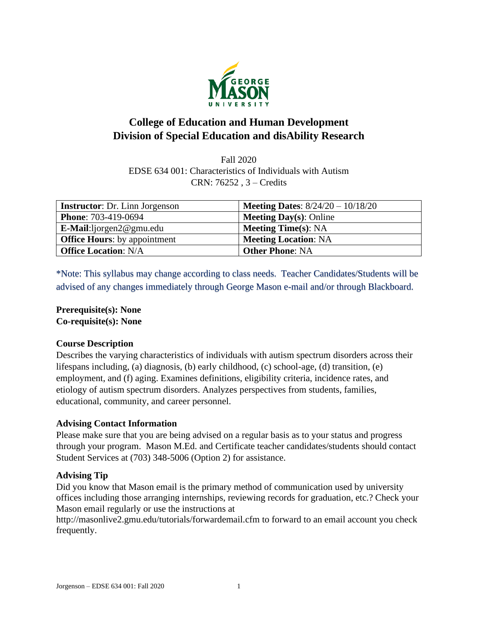

# **College of Education and Human Development Division of Special Education and disAbility Research**

Fall 2020 EDSE 634 001: Characteristics of Individuals with Autism CRN: 76252 , 3 – Credits

| <b>Instructor:</b> Dr. Linn Jorgenson | <b>Meeting Dates:</b> $8/24/20 - 10/18/20$ |
|---------------------------------------|--------------------------------------------|
| <b>Phone: 703-419-0694</b>            | <b>Meeting Day(s): Online</b>              |
| $E\text{-Mail:liporgen2@gmu.edu}$     | <b>Meeting Time(s): NA</b>                 |
| <b>Office Hours:</b> by appointment   | <b>Meeting Location: NA</b>                |
| <b>Office Location: N/A</b>           | <b>Other Phone: NA</b>                     |

\*Note: This syllabus may change according to class needs. Teacher Candidates/Students will be advised of any changes immediately through George Mason e-mail and/or through Blackboard.

**Prerequisite(s): None Co-requisite(s): None**

### **Course Description**

Describes the varying characteristics of individuals with autism spectrum disorders across their lifespans including, (a) diagnosis, (b) early childhood, (c) school-age, (d) transition, (e) employment, and (f) aging. Examines definitions, eligibility criteria, incidence rates, and etiology of autism spectrum disorders. Analyzes perspectives from students, families, educational, community, and career personnel.

### **Advising Contact Information**

Please make sure that you are being advised on a regular basis as to your status and progress through your program. Mason M.Ed. and Certificate teacher candidates/students should contact Student Services at (703) 348-5006 (Option 2) for assistance.

### **Advising Tip**

Did you know that Mason email is the primary method of communication used by university offices including those arranging internships, reviewing records for graduation, etc.? Check your Mason email regularly or use the instructions at

http://masonlive2.gmu.edu/tutorials/forwardemail.cfm to forward to an email account you check frequently.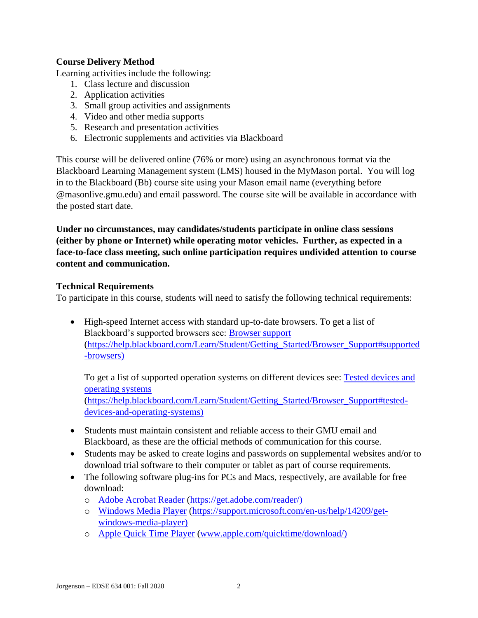### **Course Delivery Method**

Learning activities include the following:

- 1. Class lecture and discussion
- 2. Application activities
- 3. Small group activities and assignments
- 4. Video and other media supports
- 5. Research and presentation activities
- 6. Electronic supplements and activities via Blackboard

This course will be delivered online (76% or more) using an asynchronous format via the Blackboard Learning Management system (LMS) housed in the MyMason portal. You will log in to the Blackboard (Bb) course site using your Mason email name (everything before @masonlive.gmu.edu) and email password. The course site will be available in accordance with the posted start date.

**Under no circumstances, may candidates/students participate in online class sessions (either by phone or Internet) while operating motor vehicles. Further, as expected in a face-to-face class meeting, such online participation requires undivided attention to course content and communication.**

### **Technical Requirements**

To participate in this course, students will need to satisfy the following technical requirements:

• High-speed Internet access with standard up-to-date browsers. To get a list of Blackboard's supported browsers see: [Browser support](https://help.blackboard.com/Learn/Student/Getting_Started/Browser_Support#supported-browsers) [\(https://help.blackboard.com/Learn/Student/Getting\\_Started/Browser\\_Support#supported](https://help.blackboard.com/Learn/Student/Getting_Started/Browser_Support#supported-browsers) [-browsers\)](https://help.blackboard.com/Learn/Student/Getting_Started/Browser_Support#supported-browsers)

To get a list of supported operation systems on different devices see: [Tested devices and](https://help.blackboard.com/Learn/Student/Getting_Started/Browser_Support#tested-devices-and-operating-systems)  [operating systems](https://help.blackboard.com/Learn/Student/Getting_Started/Browser_Support#tested-devices-and-operating-systems) [\(https://help.blackboard.com/Learn/Student/Getting\\_Started/Browser\\_Support#tested](https://help.blackboard.com/Learn/Student/Getting_Started/Browser_Support#tested-devices-and-operating-systems)[devices-and-operating-systems\)](https://help.blackboard.com/Learn/Student/Getting_Started/Browser_Support#tested-devices-and-operating-systems)

- Students must maintain consistent and reliable access to their GMU email and Blackboard, as these are the official methods of communication for this course.
- Students may be asked to create logins and passwords on supplemental websites and/or to download trial software to their computer or tablet as part of course requirements.
- The following software plug-ins for PCs and Macs, respectively, are available for free download:
	- o [Adobe Acrobat Reader](https://get.adobe.com/reader/) [\(https://get.adobe.com/reader/\)](https://get.adobe.com/reader/)
	- o [Windows Media Player](https://support.microsoft.com/en-us/help/14209/get-windows-media-player) [\(https://support.microsoft.com/en-us/help/14209/get](https://support.microsoft.com/en-us/help/14209/get-windows-media-player)[windows-media-player\)](https://support.microsoft.com/en-us/help/14209/get-windows-media-player)
	- o [Apple Quick Time Player](http://www.apple.com/quicktime/download/) [\(www.apple.com/quicktime/download/\)](http://www.apple.com/quicktime/download/)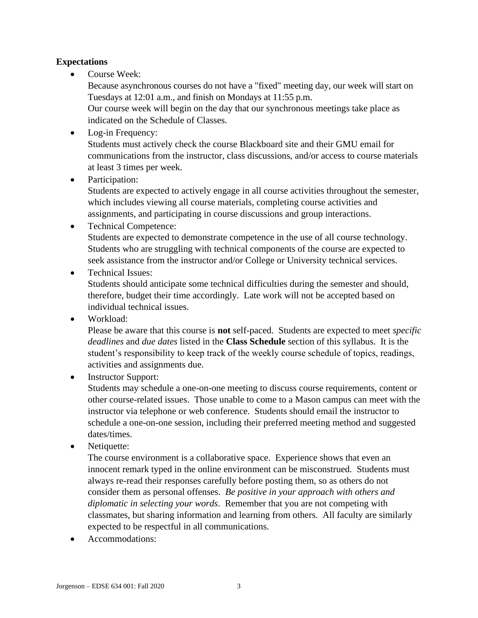### **Expectations**

Course Week:

Because asynchronous courses do not have a "fixed" meeting day, our week will start on Tuesdays at 12:01 a.m., and finish on Mondays at 11:55 p.m.

Our course week will begin on the day that our synchronous meetings take place as indicated on the Schedule of Classes.

- Log-in Frequency: Students must actively check the course Blackboard site and their GMU email for communications from the instructor, class discussions, and/or access to course materials at least 3 times per week.
- Participation:

Students are expected to actively engage in all course activities throughout the semester, which includes viewing all course materials, completing course activities and assignments, and participating in course discussions and group interactions.

- Technical Competence: Students are expected to demonstrate competence in the use of all course technology. Students who are struggling with technical components of the course are expected to seek assistance from the instructor and/or College or University technical services.
- Technical Issues:

Students should anticipate some technical difficulties during the semester and should, therefore, budget their time accordingly. Late work will not be accepted based on individual technical issues.

• Workload:

Please be aware that this course is **not** self-paced. Students are expected to meet *specific deadlines* and *due dates* listed in the **Class Schedule** section of this syllabus. It is the student's responsibility to keep track of the weekly course schedule of topics, readings, activities and assignments due.

• Instructor Support:

Students may schedule a one-on-one meeting to discuss course requirements, content or other course-related issues. Those unable to come to a Mason campus can meet with the instructor via telephone or web conference. Students should email the instructor to schedule a one-on-one session, including their preferred meeting method and suggested dates/times.

• Netiquette:

The course environment is a collaborative space. Experience shows that even an innocent remark typed in the online environment can be misconstrued. Students must always re-read their responses carefully before posting them, so as others do not consider them as personal offenses. *Be positive in your approach with others and diplomatic in selecting your words*. Remember that you are not competing with classmates, but sharing information and learning from others. All faculty are similarly expected to be respectful in all communications.

• Accommodations: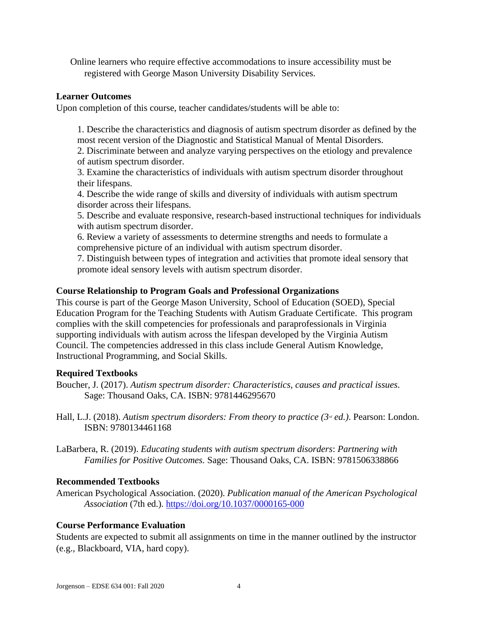Online learners who require effective accommodations to insure accessibility must be registered with George Mason University Disability Services.

### **Learner Outcomes**

Upon completion of this course, teacher candidates/students will be able to:

1. Describe the characteristics and diagnosis of autism spectrum disorder as defined by the most recent version of the Diagnostic and Statistical Manual of Mental Disorders.

2. Discriminate between and analyze varying perspectives on the etiology and prevalence of autism spectrum disorder.

3. Examine the characteristics of individuals with autism spectrum disorder throughout their lifespans.

4. Describe the wide range of skills and diversity of individuals with autism spectrum disorder across their lifespans.

5. Describe and evaluate responsive, research-based instructional techniques for individuals with autism spectrum disorder.

6. Review a variety of assessments to determine strengths and needs to formulate a comprehensive picture of an individual with autism spectrum disorder.

7. Distinguish between types of integration and activities that promote ideal sensory that promote ideal sensory levels with autism spectrum disorder.

### **Course Relationship to Program Goals and Professional Organizations**

This course is part of the George Mason University, School of Education (SOED), Special Education Program for the Teaching Students with Autism Graduate Certificate. This program complies with the skill competencies for professionals and paraprofessionals in Virginia supporting individuals with autism across the lifespan developed by the Virginia Autism Council. The competencies addressed in this class include General Autism Knowledge, Instructional Programming, and Social Skills.

### **Required Textbooks**

- Boucher, J. (2017). *Autism spectrum disorder: Characteristics, causes and practical issues*. Sage: Thousand Oaks, CA. ISBN: 9781446295670
- Hall, L.J. (2018). *Autism spectrum disorders: From theory to practice* ( $3<sup>n</sup>$  *ed.*). Pearson: London. ISBN: 9780134461168
- LaBarbera, R. (2019). *Educating students with autism spectrum disorders*: *Partnering with Families for Positive Outcomes.* Sage: Thousand Oaks, CA. ISBN: 9781506338866

### **Recommended Textbooks**

American Psychological Association. (2020). *Publication manual of the American Psychological Association* (7th ed.).<https://doi.org/10.1037/0000165-000>

### **Course Performance Evaluation**

Students are expected to submit all assignments on time in the manner outlined by the instructor (e.g., Blackboard, VIA, hard copy).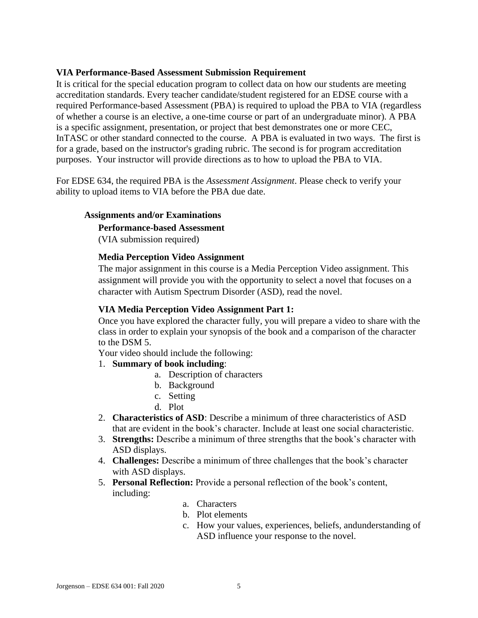### **VIA Performance-Based Assessment Submission Requirement**

It is critical for the special education program to collect data on how our students are meeting accreditation standards. Every teacher candidate/student registered for an EDSE course with a required Performance-based Assessment (PBA) is required to upload the PBA to VIA (regardless of whether a course is an elective, a one-time course or part of an undergraduate minor). A PBA is a specific assignment, presentation, or project that best demonstrates one or more CEC, InTASC or other standard connected to the course. A PBA is evaluated in two ways. The first is for a grade, based on the instructor's grading rubric. The second is for program accreditation purposes. Your instructor will provide directions as to how to upload the PBA to VIA.

For EDSE 634, the required PBA is the *Assessment Assignment*. Please check to verify your ability to upload items to VIA before the PBA due date.

### **Assignments and/or Examinations**

#### **Performance-based Assessment**

(VIA submission required)

### **Media Perception Video Assignment**

The major assignment in this course is a Media Perception Video assignment. This assignment will provide you with the opportunity to select a novel that focuses on a character with Autism Spectrum Disorder (ASD), read the novel.

#### **VIA Media Perception Video Assignment Part 1:**

Once you have explored the character fully, you will prepare a video to share with the class in order to explain your synopsis of the book and a comparison of the character to the DSM 5.

Your video should include the following:

### 1. **Summary of book including**:

- a. Description of characters
- b. Background
- c. Setting
- d. Plot
- 2. **Characteristics of ASD**: Describe a minimum of three characteristics of ASD that are evident in the book's character. Include at least one social characteristic.
- 3. **Strengths:** Describe a minimum of three strengths that the book's character with ASD displays.
- 4. **Challenges:** Describe a minimum of three challenges that the book's character with ASD displays.
- 5. **Personal Reflection:** Provide a personal reflection of the book's content, including:
	- a. Characters
	- b. Plot elements
	- c. How your values, experiences, beliefs, andunderstanding of ASD influence your response to the novel.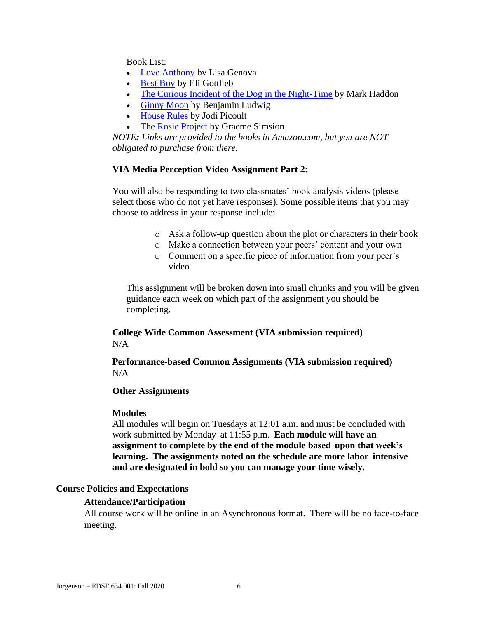Book List:

- [Love Anthony b](https://www.amazon.com/dp/B007EDYKSE/ref=dp-kindle-redirect?_encoding=UTF8&btkr=1)y Lisa Genova
- [Best Boy](https://www.amazon.com/Best-Boy-Novel-Eli-Gottlieb-ebook/dp/B00OBSZNT0/ref=sr_1_1?s=digital-text&ie=UTF8&qid=1534357232&sr=1-1&keywords=best+boy) by Eli Gottlieb
- [The Curious Incident of the Dog in the Night-Time](https://www.amazon.com/Curious-Incident-Dog-Night-Time-Contemporaries-ebook/dp/B000FC1MCS/ref=sr_1_1?s=digital-text&ie=UTF8&qid=1534357281&sr=1-1&keywords=The+Curious+Incident+of+the+Dog+in+the+Night-Time) by Mark Haddon
- [Ginny Moon](https://www.amazon.com/s?url=search-alias%3Ddigital-text&field-keywords=Ginny+Moon) by Benjamin Ludwig
- [House Rules](https://www.amazon.com/House-Rules-Novel-Jodi-Picoult-ebook/dp/B0035G08QM/ref=sr_1_1?s=digital-text&ie=UTF8&qid=1534357393&sr=1-1&keywords=house+rules) by Jodi Picoult
- [The Rosie Project](https://www.amazon.com/Rosie-Project-Novel-Tillman-Book-ebook/dp/B00BSBR9N6/ref=sr_1_1?s=digital-text&ie=UTF8&qid=1534357438&sr=1-1&keywords=The+Rosie+Project&dpID=51zS47EOayL&preST=_SY445_QL70_&dpSrc=srch) by Graeme Simsion

*NOTE: Links are provided to the books in Amazon.com, but you are NOT obligated to purchase from there.*

#### **VIA Media Perception Video Assignment Part 2:**

You will also be responding to two classmates' book analysis videos (please select those who do not yet have responses). Some possible items that you may choose to address in your response include:

- o Ask a follow-up question about the plot or characters in their book
- o Make a connection between your peers' content and your own
- o Comment on a specific piece of information from your peer's video

This assignment will be broken down into small chunks and you will be given guidance each week on which part of the assignment you should be completing.

**College Wide Common Assessment (VIA submission required)** N/A

**Performance-based Common Assignments (VIA submission required)**  $N/A$ 

#### **Other Assignments**

#### **Modules**

All modules will begin on Tuesdays at 12:01 a.m. and must be concluded with work submitted by Monday at 11:55 p.m. **Each module will have an assignment to complete by the end of the module based upon that week's learning. The assignments noted on the schedule are more labor intensive and are designated in bold so you can manage your time wisely.**

#### **Course Policies and Expectations**

#### **Attendance/Participation**

All course work will be online in an Asynchronous format. There will be no face-to-face meeting.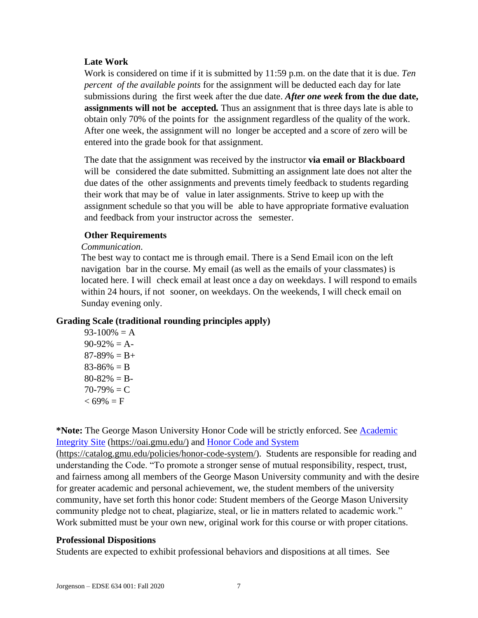### **Late Work**

Work is considered on time if it is submitted by 11:59 p.m. on the date that it is due. *Ten percent of the available points* for the assignment will be deducted each day for late submissions during the first week after the due date. *After one week* **from the due date, assignments will not be accepted***.* Thus an assignment that is three days late is able to obtain only 70% of the points for the assignment regardless of the quality of the work. After one week, the assignment will no longer be accepted and a score of zero will be entered into the grade book for that assignment.

The date that the assignment was received by the instructor **via email or Blackboard**  will be considered the date submitted. Submitting an assignment late does not alter the due dates of the other assignments and prevents timely feedback to students regarding their work that may be of value in later assignments. Strive to keep up with the assignment schedule so that you will be able to have appropriate formative evaluation and feedback from your instructor across the semester.

#### **Other Requirements**

#### *Communication*.

The best way to contact me is through email. There is a Send Email icon on the left navigation bar in the course. My email (as well as the emails of your classmates) is located here. I will check email at least once a day on weekdays. I will respond to emails within 24 hours, if not sooner, on weekdays. On the weekends, I will check email on Sunday evening only.

### **Grading Scale (traditional rounding principles apply)**

 $93-100% = A$  $90-92\% = A$  $87-89\% = B+$  $83-86% = B$  $80 - 82\% = B$  $70-79\% = C$  $< 69\% = F$ 

**\*Note:** The George Mason University Honor Code will be strictly enforced. See [Academic](https://oai.gmu.edu/)  [Integrity Site](https://oai.gmu.edu/) [\(https://oai.gmu.edu/\)](https://oai.gmu.edu/) and [Honor Code and System](https://catalog.gmu.edu/policies/honor-code-system/)

[\(https://catalog.gmu.edu/policies/honor-code-system/\)](https://catalog.gmu.edu/policies/honor-code-system/). Students are responsible for reading and understanding the Code. "To promote a stronger sense of mutual responsibility, respect, trust, and fairness among all members of the George Mason University community and with the desire for greater academic and personal achievement, we, the student members of the university community, have set forth this honor code: Student members of the George Mason University community pledge not to cheat, plagiarize, steal, or lie in matters related to academic work." Work submitted must be your own new, original work for this course or with proper citations.

### **Professional Dispositions**

Students are expected to exhibit professional behaviors and dispositions at all times. See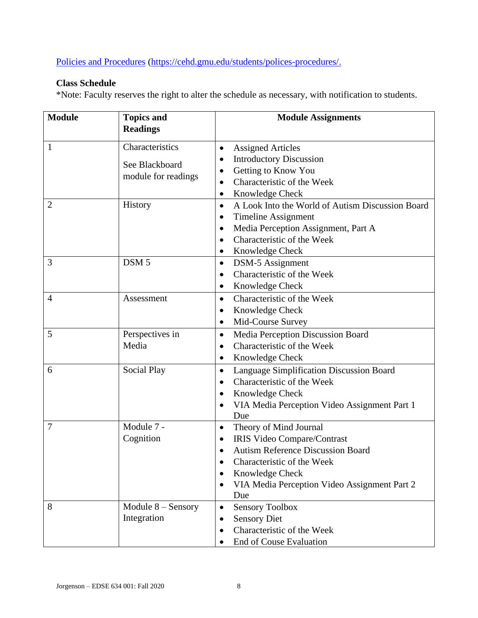[Policies and Procedures](https://cehd.gmu.edu/students/polices-procedures/) [\(https://cehd.gmu.edu/students/polices-procedures/.](https://cehd.gmu.edu/students/polices-procedures/)

## **Class Schedule**

\*Note: Faculty reserves the right to alter the schedule as necessary, with notification to students.

| <b>Module</b>  | <b>Topics and</b>    | <b>Module Assignments</b>                                     |  |  |
|----------------|----------------------|---------------------------------------------------------------|--|--|
|                | <b>Readings</b>      |                                                               |  |  |
| $\mathbf{1}$   | Characteristics      | <b>Assigned Articles</b><br>$\bullet$                         |  |  |
|                | See Blackboard       | <b>Introductory Discussion</b><br>$\bullet$                   |  |  |
|                |                      | Getting to Know You                                           |  |  |
|                | module for readings  | Characteristic of the Week<br>$\bullet$                       |  |  |
|                |                      | Knowledge Check<br>$\bullet$                                  |  |  |
| 2              | History              | A Look Into the World of Autism Discussion Board<br>$\bullet$ |  |  |
|                |                      | <b>Timeline Assignment</b>                                    |  |  |
|                |                      | Media Perception Assignment, Part A<br>$\bullet$              |  |  |
|                |                      | Characteristic of the Week<br>$\bullet$                       |  |  |
|                |                      | Knowledge Check<br>$\bullet$                                  |  |  |
| 3              | DSM <sub>5</sub>     | DSM-5 Assignment<br>$\bullet$                                 |  |  |
|                |                      | Characteristic of the Week<br>$\bullet$                       |  |  |
|                |                      | Knowledge Check<br>$\bullet$                                  |  |  |
| $\overline{4}$ | Assessment           | Characteristic of the Week<br>$\bullet$                       |  |  |
|                |                      | Knowledge Check<br>$\bullet$                                  |  |  |
|                |                      | Mid-Course Survey<br>$\bullet$                                |  |  |
| 5              | Perspectives in      | Media Perception Discussion Board<br>$\bullet$                |  |  |
|                | Media                | Characteristic of the Week<br>$\bullet$                       |  |  |
|                |                      | Knowledge Check<br>$\bullet$                                  |  |  |
| 6              | <b>Social Play</b>   | Language Simplification Discussion Board<br>$\bullet$         |  |  |
|                |                      | Characteristic of the Week<br>$\bullet$                       |  |  |
|                |                      | Knowledge Check<br>$\bullet$                                  |  |  |
|                |                      | VIA Media Perception Video Assignment Part 1                  |  |  |
|                |                      | Due                                                           |  |  |
| 7              | Module 7 -           | Theory of Mind Journal<br>$\bullet$                           |  |  |
|                | Cognition            | IRIS Video Compare/Contrast<br>٠                              |  |  |
|                |                      | <b>Autism Reference Discussion Board</b>                      |  |  |
|                |                      | Characteristic of the Week                                    |  |  |
|                |                      | Knowledge Check                                               |  |  |
|                |                      | VIA Media Perception Video Assignment Part 2                  |  |  |
|                |                      | Due                                                           |  |  |
| 8              | Module $8 -$ Sensory | <b>Sensory Toolbox</b><br>$\bullet$                           |  |  |
|                | Integration          | <b>Sensory Diet</b><br>$\bullet$                              |  |  |
|                |                      | Characteristic of the Week                                    |  |  |
|                |                      | <b>End of Couse Evaluation</b>                                |  |  |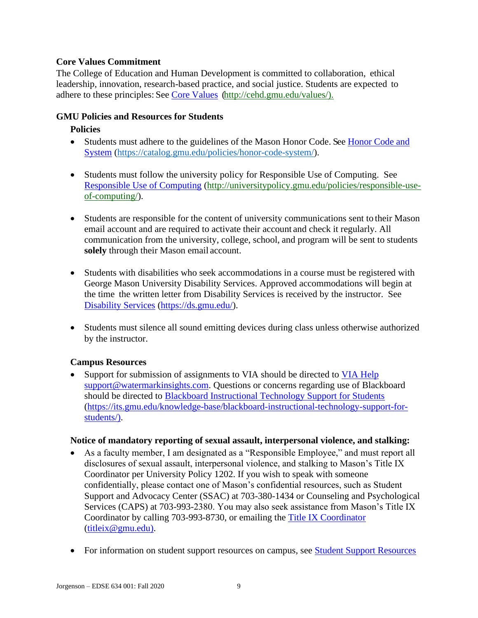### **Core Values Commitment**

The College of Education and Human Development is committed to collaboration, ethical leadership, innovation, research-based practice, and social justice. Students are expected to adhere to these principles: See [Core Values](http://cehd.gmu.edu/values/) [\(http://cehd.gmu.edu/values/\)](http://cehd.gmu.edu/values/).

## **GMU Policies and Resources for Students**

## **Policies**

- Students must adhere to the guidelines of the Mason Honor Code. See Honor Code and [System](https://catalog.gmu.edu/policies/honor-code-system/) [\(https://catalog.gmu.edu/policies/honor-code-system/\)](https://catalog.gmu.edu/policies/honor-code-system/).
- Students must follow the university policy for Responsible Use of Computing. See [Responsible Use of Computing](http://universitypolicy.gmu.edu/policies/responsible-use-of-computing/) [\(http://universitypolicy.gmu.edu/policies/responsible-use](http://universitypolicy.gmu.edu/policies/responsible-use-of-computing/)[of-computing/\)](http://universitypolicy.gmu.edu/policies/responsible-use-of-computing/).
- Students are responsible for the content of university communications sent to their Mason email account and are required to activate their account and check it regularly. All communication from the university, college, school, and program will be sent to students **solely** through their Mason email account.
- Students with disabilities who seek accommodations in a course must be registered with George Mason University Disability Services. Approved accommodations will begin at the time the written letter from Disability Services is received by the instructor. See [Disability Services](https://ds.gmu.edu/) [\(https://ds.gmu.edu/\)](https://ds.gmu.edu/).
- Students must silence all sound emitting devices during class unless otherwise authorized by the instructor.

### **Campus Resources**

• Support for submission of assignments to VIA should be directed to VIA [Help](mailto:support@watermarkinsights.com) [support@watermarkinsights.com.](mailto:support@watermarkinsights.com) Questions or concerns regarding use of Blackboard should be directed to [Blackboard Instructional Technology Support for Students](https://its.gmu.edu/knowledge-base/blackboard-instructional-technology-support-for-students/) [\(https://its.gmu.edu/knowledge-base/blackboard-instructional-technology-support-for](https://its.gmu.edu/knowledge-base/blackboard-instructional-technology-support-for-students/)[students/\)](https://its.gmu.edu/knowledge-base/blackboard-instructional-technology-support-for-students/).

### **Notice of mandatory reporting of sexual assault, interpersonal violence, and stalking:**

- As a faculty member, I am designated as a "Responsible Employee," and must report all disclosures of sexual assault, interpersonal violence, and stalking to Mason's Title IX Coordinator per University Policy 1202. If you wish to speak with someone confidentially, please contact one of Mason's confidential resources, such as Student Support and Advocacy Center (SSAC) at 703-380-1434 or Counseling and Psychological Services (CAPS) at 703-993-2380. You may also seek assistance from Mason's Title IX Coordinator by calling 703-993-8730, or emailing the [Title IX Coordinator](mailto:titleix@gmu.edu) [\(titleix@gmu.edu\)](mailto:titleix@gmu.edu).
- For information on student support resources on campus, see **Student Support Resources**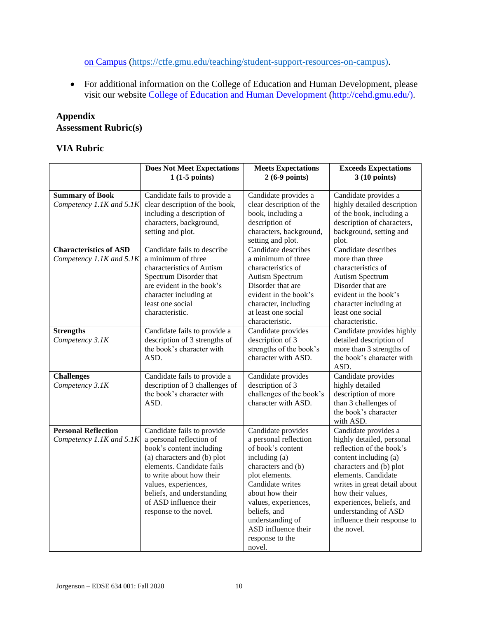[on Campus](https://ctfe.gmu.edu/teaching/student-support-resources-on-campus) [\(https://ctfe.gmu.edu/teaching/student-support-resources-on-campus\)](https://ctfe.gmu.edu/teaching/student-support-resources-on-campus).

• For additional information on the College of Education and Human Development, please visit our website [College of Education and Human Development](http://cehd.gmu.edu/) [\(http://cehd.gmu.edu/\)](https://cehd.gmu.edu/).

# **Appendix Assessment Rubric(s)**

### **VIA Rubric**

|                                                           | <b>Does Not Meet Expectations</b><br>$1(1-5$ points)                                                                                                                                                                                                                                 | <b>Meets Expectations</b><br>$2(6-9 points)$                                                                                                                                                                                                                                     | <b>Exceeds Expectations</b><br>$3(10 \text{ points})$                                                                                                                                                                                                                                                           |
|-----------------------------------------------------------|--------------------------------------------------------------------------------------------------------------------------------------------------------------------------------------------------------------------------------------------------------------------------------------|----------------------------------------------------------------------------------------------------------------------------------------------------------------------------------------------------------------------------------------------------------------------------------|-----------------------------------------------------------------------------------------------------------------------------------------------------------------------------------------------------------------------------------------------------------------------------------------------------------------|
| <b>Summary of Book</b><br>Competency 1.1K and 5.1K        | Candidate fails to provide a<br>clear description of the book,<br>including a description of<br>characters, background,<br>setting and plot.                                                                                                                                         | Candidate provides a<br>clear description of the<br>book, including a<br>description of<br>characters, background,<br>setting and plot.                                                                                                                                          | Candidate provides a<br>highly detailed description<br>of the book, including a<br>description of characters,<br>background, setting and<br>plot.                                                                                                                                                               |
| <b>Characteristics of ASD</b><br>Competency 1.1K and 5.1K | Candidate fails to describe<br>a minimum of three<br>characteristics of Autism<br>Spectrum Disorder that<br>are evident in the book's<br>character including at<br>least one social<br>characteristic.                                                                               | Candidate describes<br>a minimum of three<br>characteristics of<br>Autism Spectrum<br>Disorder that are<br>evident in the book's<br>character, including<br>at least one social<br>characteristic.                                                                               | Candidate describes<br>more than three<br>characteristics of<br>Autism Spectrum<br>Disorder that are<br>evident in the book's<br>character including at<br>least one social<br>characteristic.                                                                                                                  |
| <b>Strengths</b><br>Competency 3.1K                       | Candidate fails to provide a<br>description of 3 strengths of<br>the book's character with<br>ASD.                                                                                                                                                                                   | Candidate provides<br>description of 3<br>strengths of the book's<br>character with ASD.                                                                                                                                                                                         | Candidate provides highly<br>detailed description of<br>more than 3 strengths of<br>the book's character with<br>ASD.                                                                                                                                                                                           |
| <b>Challenges</b><br>Competency 3.1K                      | Candidate fails to provide a<br>description of 3 challenges of<br>the book's character with<br>ASD.                                                                                                                                                                                  | Candidate provides<br>description of 3<br>challenges of the book's<br>character with ASD.                                                                                                                                                                                        | Candidate provides<br>highly detailed<br>description of more<br>than 3 challenges of<br>the book's character<br>with ASD.                                                                                                                                                                                       |
| <b>Personal Reflection</b><br>Competency 1.1K and 5.1K    | Candidate fails to provide<br>a personal reflection of<br>book's content including<br>(a) characters and (b) plot<br>elements. Candidate fails<br>to write about how their<br>values, experiences,<br>beliefs, and understanding<br>of ASD influence their<br>response to the novel. | Candidate provides<br>a personal reflection<br>of book's content<br>including (a)<br>characters and (b)<br>plot elements.<br>Candidate writes<br>about how their<br>values, experiences,<br>beliefs, and<br>understanding of<br>ASD influence their<br>response to the<br>novel. | Candidate provides a<br>highly detailed, personal<br>reflection of the book's<br>content including (a)<br>characters and (b) plot<br>elements. Candidate<br>writes in great detail about<br>how their values,<br>experiences, beliefs, and<br>understanding of ASD<br>influence their response to<br>the novel. |